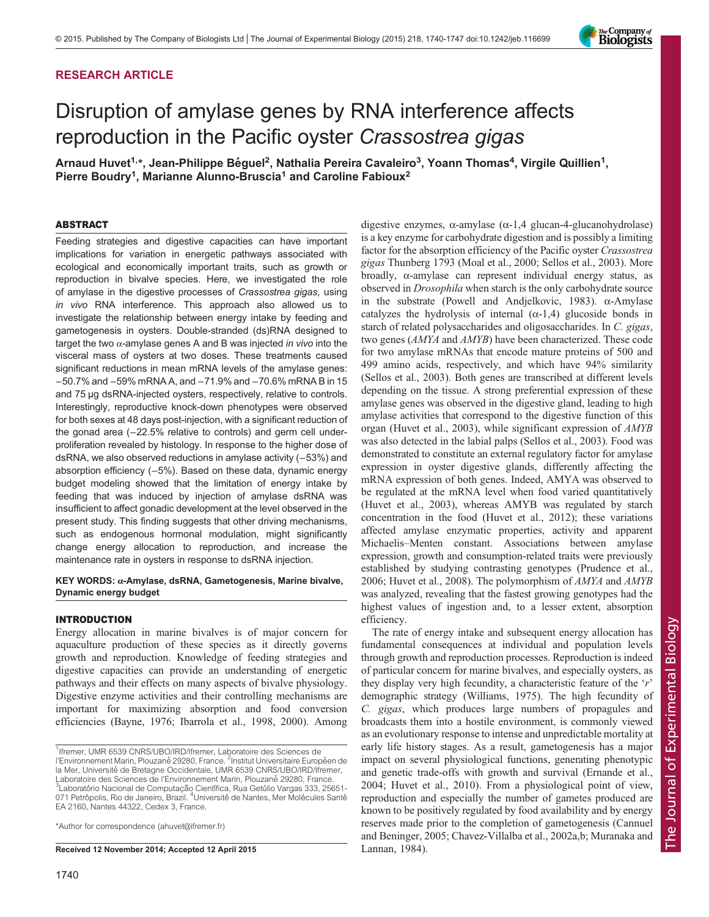# RESEARCH ARTICLE

# Disruption of amylase genes by RNA interference affects reproduction in the Pacific oyster Crassostrea gigas

Arnaud Huvet<sup>1,\*</sup>, Jean-Philippe Béguel<sup>2</sup>, Nathalia Pereira Cavaleiro<sup>3</sup>, Yoann Thomas<sup>4</sup>, Virgile Quillien<sup>1</sup>, Pierre Boudry<sup>1</sup>, Marianne Alunno-Bruscia<sup>1</sup> and Caroline Fabioux<sup>2</sup>

## ABSTRACT

Feeding strategies and digestive capacities can have important implications for variation in energetic pathways associated with ecological and economically important traits, such as growth or reproduction in bivalve species. Here, we investigated the role of amylase in the digestive processes of Crassostrea gigas, using in vivo RNA interference. This approach also allowed us to investigate the relationship between energy intake by feeding and gametogenesis in oysters. Double-stranded (ds)RNA designed to target the two  $\alpha$ -amylase genes A and B was injected in vivo into the visceral mass of oysters at two doses. These treatments caused significant reductions in mean mRNA levels of the amylase genes: −50.7% and −59% mRNA A, and −71.9% and −70.6% mRNA B in 15 and 75 µg dsRNA-injected oysters, respectively, relative to controls. Interestingly, reproductive knock-down phenotypes were observed for both sexes at 48 days post-injection, with a significant reduction of the gonad area (−22.5% relative to controls) and germ cell underproliferation revealed by histology. In response to the higher dose of dsRNA, we also observed reductions in amylase activity (−53%) and absorption efficiency (−5%). Based on these data, dynamic energy budget modeling showed that the limitation of energy intake by feeding that was induced by injection of amylase dsRNA was insufficient to affect gonadic development at the level observed in the present study. This finding suggests that other driving mechanisms, such as endogenous hormonal modulation, might significantly change energy allocation to reproduction, and increase the maintenance rate in oysters in response to dsRNA injection.

# KEY WORDS: α-Amylase, dsRNA, Gametogenesis, Marine bivalve, Dynamic energy budget

## INTRODUCTION

Energy allocation in marine bivalves is of major concern for aquaculture production of these species as it directly governs growth and reproduction. Knowledge of feeding strategies and digestive capacities can provide an understanding of energetic pathways and their effects on many aspects of bivalve physiology. Digestive enzyme activities and their controlling mechanisms are important for maximizing absorption and food conversion efficiencies ([Bayne, 1976;](#page-6-0) [Ibarrola et al., 1998, 2000\)](#page-7-0). Among

\*Author for correspondence (ahuvet@ifremer.fr)

Received 12 November 2014; Accepted 12 April 2015 [Lannan, 1984](#page-7-0)).

digestive enzymes,  $\alpha$ -amylase ( $\alpha$ -1,4 glucan-4-glucanohydrolase) is a key enzyme for carbohydrate digestion and is possibly a limiting factor for the absorption efficiency of the Pacific oyster Crassostrea gigas Thunberg 1793 ([Moal et al., 2000](#page-7-0); [Sellos et al., 2003\)](#page-7-0). More broadly, α-amylase can represent individual energy status, as observed in Drosophila when starch is the only carbohydrate source in the substrate [\(Powell and Andjelkovic, 1983](#page-7-0)). α-Amylase catalyzes the hydrolysis of internal  $(\alpha-1,4)$  glucoside bonds in starch of related polysaccharides and oligosaccharides. In C. gigas, two genes (AMYA and AMYB) have been characterized. These code for two amylase mRNAs that encode mature proteins of 500 and 499 amino acids, respectively, and which have 94% similarity [\(Sellos et al., 2003](#page-7-0)). Both genes are transcribed at different levels depending on the tissue. A strong preferential expression of these amylase genes was observed in the digestive gland, leading to high amylase activities that correspond to the digestive function of this organ ([Huvet et al., 2003\)](#page-6-0), while significant expression of AMYB was also detected in the labial palps [\(Sellos et al., 2003\)](#page-7-0). Food was demonstrated to constitute an external regulatory factor for amylase expression in oyster digestive glands, differently affecting the mRNA expression of both genes. Indeed, AMYA was observed to be regulated at the mRNA level when food varied quantitatively [\(Huvet et al., 2003\)](#page-6-0), whereas AMYB was regulated by starch concentration in the food ([Huvet et al., 2012](#page-7-0)); these variations affected amylase enzymatic properties, activity and apparent Michaelis–Menten constant. Associations between amylase expression, growth and consumption-related traits were previously established by studying contrasting genotypes [\(Prudence et al.,](#page-7-0) [2006; Huvet et al., 2008\)](#page-7-0). The polymorphism of AMYA and AMYB was analyzed, revealing that the fastest growing genotypes had the highest values of ingestion and, to a lesser extent, absorption efficiency.

The rate of energy intake and subsequent energy allocation has fundamental consequences at individual and population levels through growth and reproduction processes. Reproduction is indeed of particular concern for marine bivalves, and especially oysters, as they display very high fecundity, a characteristic feature of the 'r' demographic strategy [\(Williams, 1975\)](#page-7-0). The high fecundity of C. gigas, which produces large numbers of propagules and broadcasts them into a hostile environment, is commonly viewed as an evolutionary response to intense and unpredictable mortality at early life history stages. As a result, gametogenesis has a major impact on several physiological functions, generating phenotypic and genetic trade-offs with growth and survival ([Ernande et al.,](#page-6-0) [2004;](#page-6-0) [Huvet et al., 2010\)](#page-7-0). From a physiological point of view, reproduction and especially the number of gametes produced are known to be positively regulated by food availability and by energy reserves made prior to the completion of gametogenesis [\(Cannuel](#page-6-0) [and Beninger, 2005; Chavez-Villalba et al., 2002a,b;](#page-6-0) [Muranaka and](#page-7-0)



<sup>&</sup>lt;sup>1</sup>Ifremer, UMR 6539 CNRS/UBO/IRD/Ifremer, Laboratoire des Sciences de l'Environnement Marin, Plouzané 29280, France. <sup>2</sup>Institut Universitaire Européen de la Mer, Université de Bretagne Occidentale, UMR 6539 CNRS/UBO/IRD/Ifremer, Laboratoire des Sciences de l'Environnement Marin, Plouzané 29280, France. Laboratório Nacional de Computação Científica, Rua Getúlio Vargas 333, 25651-071 Petrópolis, Rio de Janeiro, Brazil. <sup>4</sup>Université de Nantes, Mer Molécules Santé EA 2160, Nantes 44322, Cedex 3, France.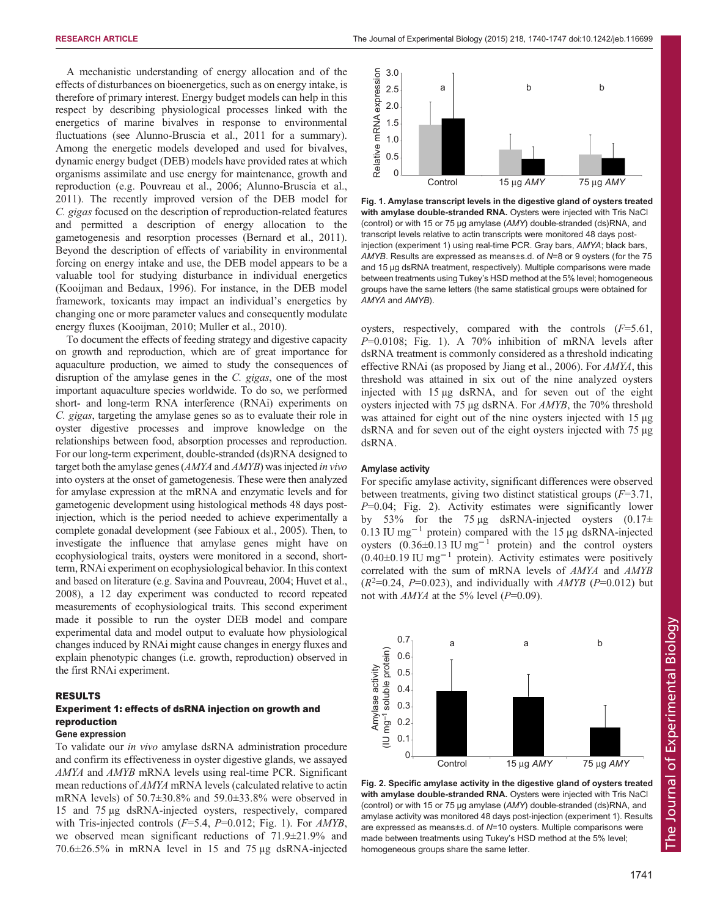A mechanistic understanding of energy allocation and of the effects of disturbances on bioenergetics, such as on energy intake, is therefore of primary interest. Energy budget models can help in this respect by describing physiological processes linked with the energetics of marine bivalves in response to environmental fluctuations (see [Alunno-Bruscia et al., 2011](#page-6-0) for a summary). Among the energetic models developed and used for bivalves, dynamic energy budget (DEB) models have provided rates at which organisms assimilate and use energy for maintenance, growth and reproduction (e.g. [Pouvreau et al., 2006](#page-7-0); [Alunno-Bruscia et al.,](#page-6-0) [2011](#page-6-0)). The recently improved version of the DEB model for C. gigas focused on the description of reproduction-related features and permitted a description of energy allocation to the gametogenesis and resorption processes ([Bernard et al., 2011\)](#page-6-0). Beyond the description of effects of variability in environmental forcing on energy intake and use, the DEB model appears to be a valuable tool for studying disturbance in individual energetics [\(Kooijman and Bedaux, 1996](#page-7-0)). For instance, in the DEB model framework, toxicants may impact an individual's energetics by changing one or more parameter values and consequently modulate energy fluxes [\(Kooijman, 2010; Muller et al., 2010\)](#page-7-0).

To document the effects of feeding strategy and digestive capacity on growth and reproduction, which are of great importance for aquaculture production, we aimed to study the consequences of disruption of the amylase genes in the C. gigas, one of the most important aquaculture species worldwide. To do so, we performed short- and long-term RNA interference (RNAi) experiments on C. gigas, targeting the amylase genes so as to evaluate their role in oyster digestive processes and improve knowledge on the relationships between food, absorption processes and reproduction. For our long-term experiment, double-stranded (ds)RNA designed to target both the amylase genes (*AMYA* and *AMYB*) was injected *in vivo* into oysters at the onset of gametogenesis. These were then analyzed for amylase expression at the mRNA and enzymatic levels and for gametogenic development using histological methods 48 days postinjection, which is the period needed to achieve experimentally a complete gonadal development (see [Fabioux et al., 2005](#page-6-0)). Then, to investigate the influence that amylase genes might have on ecophysiological traits, oysters were monitored in a second, shortterm, RNAi experiment on ecophysiological behavior. In this context and based on literature (e.g. [Savina and Pouvreau, 2004; Huvet et al.,](#page-7-0) [2008\)](#page-7-0), a 12 day experiment was conducted to record repeated measurements of ecophysiological traits. This second experiment made it possible to run the oyster DEB model and compare experimental data and model output to evaluate how physiological changes induced by RNAi might cause changes in energy fluxes and explain phenotypic changes (i.e. growth, reproduction) observed in the first RNAi experiment.

## RESULTS

# Experiment 1: effects of dsRNA injection on growth and reproduction

# Gene expression

To validate our in vivo amylase dsRNA administration procedure and confirm its effectiveness in oyster digestive glands, we assayed AMYA and AMYB mRNA levels using real-time PCR. Significant mean reductions of AMYA mRNA levels (calculated relative to actin mRNA levels) of 50.7±30.8% and 59.0±33.8% were observed in 15 and 75 µg dsRNA-injected oysters, respectively, compared with Tris-injected controls  $(F=5.4, P=0.012; Fig. 1)$ . For  $AMYB$ , we observed mean significant reductions of 71.9±21.9% and 70.6±26.5% in mRNA level in 15 and 75 µg dsRNA-injected



Fig. 1. Amylase transcript levels in the digestive gland of oysters treated with amylase double-stranded RNA. Oysters were injected with Tris NaCl (control) or with 15 or 75 µg amylase (AMY) double-stranded (ds)RNA, and transcript levels relative to actin transcripts were monitored 48 days postinjection (experiment 1) using real-time PCR. Gray bars, AMYA; black bars, AMYB. Results are expressed as means±s.d. of N=8 or 9 oysters (for the 75 and 15 µg dsRNA treatment, respectively). Multiple comparisons were made between treatments using Tukey's HSD method at the 5% level; homogeneous groups have the same letters (the same statistical groups were obtained for AMYA and AMYB).

oysters, respectively, compared with the controls  $(F=5.61,$  $P=0.0108$ ; Fig. 1). A 70% inhibition of mRNA levels after dsRNA treatment is commonly considered as a threshold indicating effective RNAi (as proposed by [Jiang et al., 2006](#page-7-0)). For AMYA, this threshold was attained in six out of the nine analyzed oysters injected with 15 µg dsRNA, and for seven out of the eight oysters injected with 75 µg dsRNA. For AMYB, the 70% threshold was attained for eight out of the nine oysters injected with 15 µg dsRNA and for seven out of the eight oysters injected with 75 µg dsRNA.

## Amylase activity

For specific amylase activity, significant differences were observed between treatments, giving two distinct statistical groups  $(F=3.71,$  $P=0.04$ ; Fig. 2). Activity estimates were significantly lower by 53% for the 75  $\mu$ g dsRNA-injected oysters (0.17 $\pm$ 0.13 IU mg−<sup>1</sup> protein) compared with the 15 µg dsRNA-injected oysters  $(0.36\pm0.13 \text{ IU mg}^{-1} \text{ protein})$  and the control oysters  $(0.40\pm0.19 \text{ IU mg}^{-1}$  protein). Activity estimates were positively correlated with the sum of mRNA levels of AMYA and AMYB  $(R^2=0.24, P=0.023)$ , and individually with AMYB (P=0.012) but not with  $AMYA$  at the 5% level ( $P=0.09$ ).



Fig. 2. Specific amylase activity in the digestive gland of oysters treated with amylase double-stranded RNA. Oysters were injected with Tris NaCl (control) or with 15 or 75 µg amylase (AMY) double-stranded (ds)RNA, and amylase activity was monitored 48 days post-injection (experiment 1). Results are expressed as means±s.d. of N=10 oysters. Multiple comparisons were made between treatments using Tukey's HSD method at the 5% level; homogeneous groups share the same letter.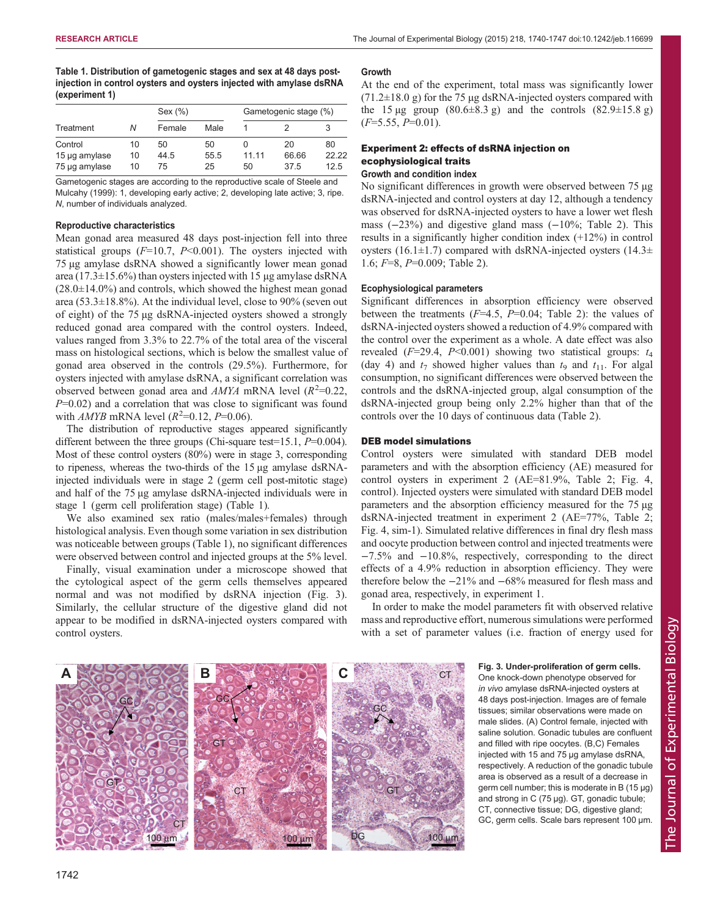Table 1. Distribution of gametogenic stages and sex at 48 days postinjection in control oysters and oysters injected with amylase dsRNA (experiment 1)

|               |    | Sex $(\%)$ |      | Gametogenic stage (%) |       |       |
|---------------|----|------------|------|-----------------------|-------|-------|
| Treatment     | Ν  | Female     | Male |                       |       |       |
| Control       | 10 | 50         | 50   |                       | 20    | 80    |
| 15 µg amylase | 10 | 44.5       | 55.5 | 11 11                 | 66.66 | 22.22 |
| 75 µg amylase | 10 | 75         | 25   | 50                    | 37.5  | 125   |

Gametogenic stages are according to the reproductive scale of [Steele and](#page-7-0) [Mulcahy \(1999\)](#page-7-0): 1, developing early active; 2, developing late active; 3, ripe. N, number of individuals analyzed.

# Reproductive characteristics

Mean gonad area measured 48 days post-injection fell into three statistical groups  $(F=10.7, P<0.001)$ . The oysters injected with 75 µg amylase dsRNA showed a significantly lower mean gonad area (17.3 $\pm$ 15.6%) than oysters injected with 15 µg amylase dsRNA  $(28.0\pm14.0\%)$  and controls, which showed the highest mean gonad area (53.3 $\pm$ 18.8%). At the individual level, close to 90% (seven out of eight) of the 75 µg dsRNA-injected oysters showed a strongly reduced gonad area compared with the control oysters. Indeed, values ranged from 3.3% to 22.7% of the total area of the visceral mass on histological sections, which is below the smallest value of gonad area observed in the controls (29.5%). Furthermore, for oysters injected with amylase dsRNA, a significant correlation was observed between gonad area and  $AMYA$  mRNA level ( $R^2$ =0.22,  $P=0.02$ ) and a correlation that was close to significant was found with *AMYB* mRNA level  $(R^2=0.12, P=0.06)$ .

The distribution of reproductive stages appeared significantly different between the three groups (Chi-square test=15.1,  $P=0.004$ ). Most of these control oysters (80%) were in stage 3, corresponding to ripeness, whereas the two-thirds of the 15 µg amylase dsRNAinjected individuals were in stage 2 (germ cell post-mitotic stage) and half of the 75 µg amylase dsRNA-injected individuals were in stage 1 (germ cell proliferation stage) (Table 1).

We also examined sex ratio (males/males+females) through histological analysis. Even though some variation in sex distribution was noticeable between groups (Table 1), no significant differences were observed between control and injected groups at the 5% level.

Finally, visual examination under a microscope showed that the cytological aspect of the germ cells themselves appeared normal and was not modified by dsRNA injection (Fig. 3). Similarly, the cellular structure of the digestive gland did not appear to be modified in dsRNA-injected oysters compared with control oysters.

#### Growth

At the end of the experiment, total mass was significantly lower  $(71.2\pm18.0 \text{ g})$  for the 75 µg dsRNA-injected oysters compared with the 15  $\mu$ g group (80.6 $\pm$ 8.3 g) and the controls (82.9 $\pm$ 15.8 g)  $(F=5.55, P=0.01)$ .

# Experiment 2: effects of dsRNA injection on ecophysiological traits Growth and condition index

No significant differences in growth were observed between 75 µg dsRNA-injected and control oysters at day 12, although a tendency was observed for dsRNA-injected oysters to have a lower wet flesh mass (−23%) and digestive gland mass (−10%; [Table 2\)](#page-3-0). This results in a significantly higher condition index (+12%) in control oysters (16.1 $\pm$ 1.7) compared with dsRNA-injected oysters (14.3 $\pm$ 1.6; F=8, P=0.009; [Table 2](#page-3-0)).

### Ecophysiological parameters

Significant differences in absorption efficiency were observed between the treatments  $(F=4.5, P=0.04;$  [Table 2\)](#page-3-0): the values of dsRNA-injected oysters showed a reduction of 4.9% compared with the control over the experiment as a whole. A date effect was also revealed ( $F=29.4$ ,  $P<0.001$ ) showing two statistical groups:  $t_4$ (day 4) and  $t_7$  showed higher values than  $t_9$  and  $t_{11}$ . For algal consumption, no significant differences were observed between the controls and the dsRNA-injected group, algal consumption of the dsRNA-injected group being only 2.2% higher than that of the controls over the 10 days of continuous data [\(Table 2\)](#page-3-0).

## DEB model simulations

Control oysters were simulated with standard DEB model parameters and with the absorption efficiency (AE) measured for control oysters in experiment 2 (AE=81.9%, [Table 2; Fig. 4,](#page-3-0) control). Injected oysters were simulated with standard DEB model parameters and the absorption efficiency measured for the 75 µg dsRNA-injected treatment in experiment 2 (AE=77%, [Table 2](#page-3-0); [Fig. 4,](#page-3-0) sim-1). Simulated relative differences in final dry flesh mass and oocyte production between control and injected treatments were −7.5% and −10.8%, respectively, corresponding to the direct effects of a 4.9% reduction in absorption efficiency. They were therefore below the −21% and −68% measured for flesh mass and gonad area, respectively, in experiment 1.

In order to make the model parameters fit with observed relative mass and reproductive effort, numerous simulations were performed with a set of parameter values (i.e. fraction of energy used for



Fig. 3. Under-proliferation of germ cells. One knock-down phenotype observed for in vivo amylase dsRNA-injected oysters at 48 days post-injection. Images are of female tissues; similar observations were made on male slides. (A) Control female, injected with saline solution. Gonadic tubules are confluent and filled with ripe oocytes. (B,C) Females injected with 15 and 75 µg amylase dsRNA, respectively. A reduction of the gonadic tubule area is observed as a result of a decrease in germ cell number; this is moderate in B (15 µg) and strong in C (75 µg). GT, gonadic tubule; CT, connective tissue; DG, digestive gland; GC, germ cells. Scale bars represent 100 µm.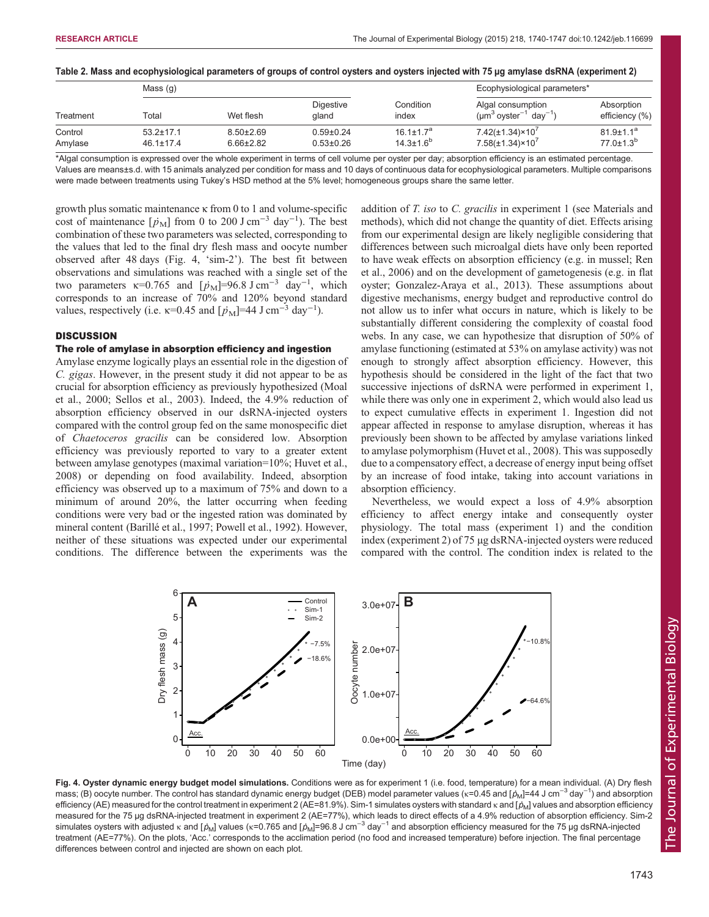## <span id="page-3-0"></span>Table 2. Mass and ecophysiological parameters of groups of control oysters and oysters injected with 75 µg amylase dsRNA (experiment 2)

|                    | Mass $(g)$                         |                                    |                                    |                                        | Ecophysiological parameters*                                             |                                      |
|--------------------|------------------------------------|------------------------------------|------------------------------------|----------------------------------------|--------------------------------------------------------------------------|--------------------------------------|
| Treatment          | Total                              | Wet flesh                          | <b>Digestive</b><br>aland          | Condition<br>index                     | Algal consumption<br>$(\mu m^3$ oyster <sup>-1</sup> dav <sup>-1</sup> ) | Absorption<br>efficiency (%)         |
| Control<br>Amylase | $53.2 \pm 17.1$<br>$46.1 \pm 17.4$ | $8.50 \pm 2.69$<br>$6.66 \pm 2.82$ | $0.59 \pm 0.24$<br>$0.53 \pm 0.26$ | $16.1 \pm 1.7^a$<br>$14.3 \pm 1.6^{b}$ | $7.42(\pm 1.34) \times 10^{7}$<br>$7.58(\pm1.34)\times10^{7}$            | $81.9 \pm 1.1^a$<br>$77.0 \pm 1.3^b$ |

\*Algal consumption is expressed over the whole experiment in terms of cell volume per oyster per day; absorption efficiency is an estimated percentage. Values are means±s.d. with 15 animals analyzed per condition for mass and 10 days of continuous data for ecophysiological parameters. Multiple comparisons were made between treatments using Tukey's HSD method at the 5% level; homogeneous groups share the same letter.

growth plus somatic maintenance κ from 0 to 1 and volume-specific cost of maintenance  $[p_M]$  from 0 to 200 J cm<sup>-3</sup> day<sup>-1</sup>). The best combination of these two parameters was selected, corresponding to the values that led to the final dry flesh mass and oocyte number observed after 48 days (Fig. 4, 'sim-2'). The best fit between observations and simulations was reached with a single set of the two parameters  $\kappa$ =0.765 and  $[p_M]$ =96.8 J cm<sup>-3</sup> day<sup>-1</sup>, which corresponds to an increase of 70% and 120% beyond standard values, respectively (i.e.  $\kappa$ =0.45 and  $[p_M]$ =44 J cm<sup>-3</sup> day<sup>-1</sup>).

# **DISCUSSION**

# The role of amylase in absorption efficiency and ingestion

Amylase enzyme logically plays an essential role in the digestion of C. gigas. However, in the present study it did not appear to be as crucial for absorption efficiency as previously hypothesized [\(Moal](#page-7-0) [et al., 2000](#page-7-0); [Sellos et al., 2003](#page-7-0)). Indeed, the 4.9% reduction of absorption efficiency observed in our dsRNA-injected oysters compared with the control group fed on the same monospecific diet of Chaetoceros gracilis can be considered low. Absorption efficiency was previously reported to vary to a greater extent between amylase genotypes (maximal variation=10%; [Huvet et al.,](#page-7-0) [2008](#page-7-0)) or depending on food availability. Indeed, absorption efficiency was observed up to a maximum of 75% and down to a minimum of around 20%, the latter occurring when feeding conditions were very bad or the ingested ration was dominated by mineral content [\(Barillé et al., 1997;](#page-6-0) [Powell et al., 1992\)](#page-7-0). However, neither of these situations was expected under our experimental conditions. The difference between the experiments was the

addition of T. iso to C. gracilis in experiment 1 (see Materials and methods), which did not change the quantity of diet. Effects arising from our experimental design are likely negligible considering that differences between such microalgal diets have only been reported to have weak effects on absorption efficiency (e.g. in mussel; [Ren](#page-7-0) [et al., 2006\)](#page-7-0) and on the development of gametogenesis (e.g. in flat oyster; [Gonzalez-Araya et al., 2013](#page-6-0)). These assumptions about digestive mechanisms, energy budget and reproductive control do not allow us to infer what occurs in nature, which is likely to be substantially different considering the complexity of coastal food webs. In any case, we can hypothesize that disruption of 50% of amylase functioning (estimated at 53% on amylase activity) was not enough to strongly affect absorption efficiency. However, this hypothesis should be considered in the light of the fact that two successive injections of dsRNA were performed in experiment 1, while there was only one in experiment 2, which would also lead us to expect cumulative effects in experiment 1. Ingestion did not appear affected in response to amylase disruption, whereas it has previously been shown to be affected by amylase variations linked to amylase polymorphism ([Huvet et al., 2008](#page-7-0)). This was supposedly due to a compensatory effect, a decrease of energy input being offset by an increase of food intake, taking into account variations in absorption efficiency.

Nevertheless, we would expect a loss of 4.9% absorption efficiency to affect energy intake and consequently oyster physiology. The total mass (experiment 1) and the condition index (experiment 2) of 75 µg dsRNA-injected oysters were reduced compared with the control. The condition index is related to the



Time (day) Fig. 4. Oyster dynamic energy budget model simulations. Conditions were as for experiment 1 (i.e. food, temperature) for a mean individual. (A) Dry flesh mass; (B) oocyte number. The control has standard dynamic energy budget (DEB) model parameter values (κ=0.45 and [ $\dot{\rho}_{\rm M}$ ]=44 J cm $^{-3}$  day $^{-1}$ ) and absorption efficiency (AE) measured for the control treatment in experiment 2 (AE=81.9%). Sim-1 simulates oysters with standard  $\kappa$  and [ $\dot{p}_{\text{M}}$ ] values and absorption efficiency measured for the 75 µg dsRNA-injected treatment in experiment 2 (AE=77%), which leads to direct effects of a 4.9% reduction of absorption efficiency. Sim-2 simulates oysters with adjusted κ and [*p*<sub>M</sub>] values (κ=0.765 and [*p*<sub>M</sub>]=96.8 J cm<sup>-3</sup> day<sup>-1</sup> and absorption efficiency measured for the 75 µg dsRNA-injected treatment (AE=77%). On the plots, 'Acc.' corresponds to the acclimation period (no food and increased temperature) before injection. The final percentage differences between control and injected are shown on each plot.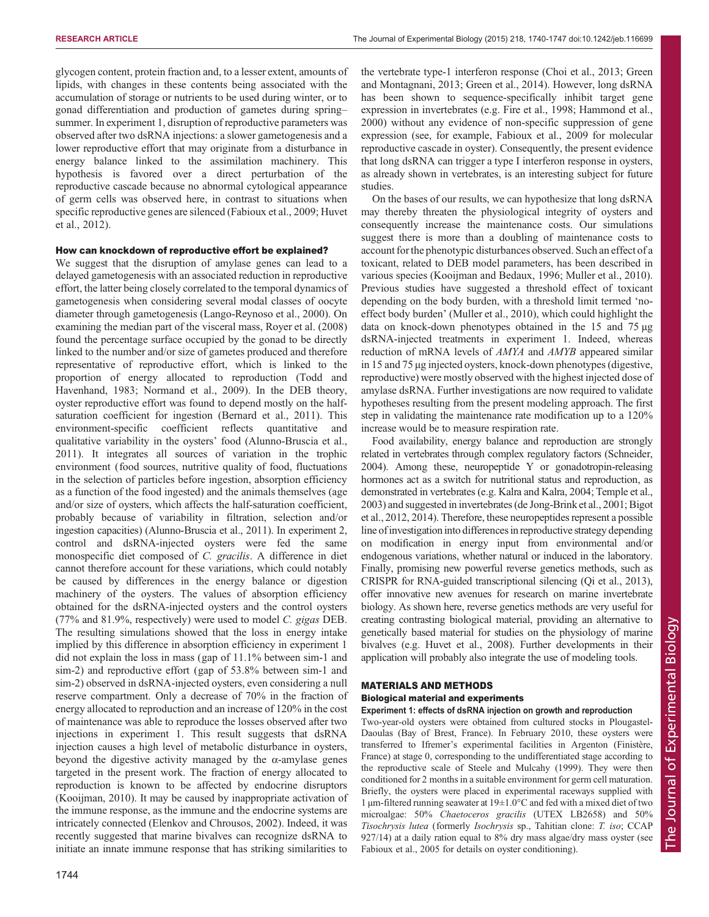glycogen content, protein fraction and, to a lesser extent, amounts of lipids, with changes in these contents being associated with the accumulation of storage or nutrients to be used during winter, or to gonad differentiation and production of gametes during spring– summer. In experiment 1, disruption of reproductive parameters was observed after two dsRNA injections: a slower gametogenesis and a lower reproductive effort that may originate from a disturbance in energy balance linked to the assimilation machinery. This hypothesis is favored over a direct perturbation of the reproductive cascade because no abnormal cytological appearance of germ cells was observed here, in contrast to situations when specific reproductive genes are silenced [\(Fabioux et al., 2009;](#page-6-0) [Huvet](#page-7-0) [et al., 2012\)](#page-7-0).

# How can knockdown of reproductive effort be explained?

We suggest that the disruption of amylase genes can lead to a delayed gametogenesis with an associated reduction in reproductive effort, the latter being closely correlated to the temporal dynamics of gametogenesis when considering several modal classes of oocyte diameter through gametogenesis ([Lango-Reynoso et al., 2000\)](#page-7-0). On examining the median part of the visceral mass, [Royer et al. \(2008\)](#page-7-0) found the percentage surface occupied by the gonad to be directly linked to the number and/or size of gametes produced and therefore representative of reproductive effort, which is linked to the proportion of energy allocated to reproduction ([Todd and](#page-7-0) [Havenhand, 1983; Normand et al., 2009](#page-7-0)). In the DEB theory, oyster reproductive effort was found to depend mostly on the halfsaturation coefficient for ingestion ([Bernard et al., 2011](#page-6-0)). This environment-specific coefficient reflects quantitative and qualitative variability in the oysters' food ([Alunno-Bruscia et al.,](#page-6-0) [2011](#page-6-0)). It integrates all sources of variation in the trophic environment (food sources, nutritive quality of food, fluctuations in the selection of particles before ingestion, absorption efficiency as a function of the food ingested) and the animals themselves (age and/or size of oysters, which affects the half-saturation coefficient, probably because of variability in filtration, selection and/or ingestion capacities) [\(Alunno-Bruscia et al., 2011](#page-6-0)). In experiment 2, control and dsRNA-injected oysters were fed the same monospecific diet composed of C. gracilis. A difference in diet cannot therefore account for these variations, which could notably be caused by differences in the energy balance or digestion machinery of the oysters. The values of absorption efficiency obtained for the dsRNA-injected oysters and the control oysters (77% and 81.9%, respectively) were used to model C. gigas DEB. The resulting simulations showed that the loss in energy intake implied by this difference in absorption efficiency in experiment 1 did not explain the loss in mass (gap of 11.1% between sim-1 and sim-2) and reproductive effort (gap of 53.8% between sim-1 and sim-2) observed in dsRNA-injected oysters, even considering a null reserve compartment. Only a decrease of 70% in the fraction of energy allocated to reproduction and an increase of 120% in the cost of maintenance was able to reproduce the losses observed after two injections in experiment 1. This result suggests that dsRNA injection causes a high level of metabolic disturbance in oysters, beyond the digestive activity managed by the  $\alpha$ -amylase genes targeted in the present work. The fraction of energy allocated to reproduction is known to be affected by endocrine disruptors [\(Kooijman, 2010\)](#page-7-0). It may be caused by inappropriate activation of the immune response, as the immune and the endocrine systems are intricately connected ([Elenkov and Chrousos, 2002](#page-6-0)). Indeed, it was recently suggested that marine bivalves can recognize dsRNA to initiate an innate immune response that has striking similarities to

the vertebrate type-1 interferon response [\(Choi et al., 2013; Green](#page-6-0) [and Montagnani, 2013; Green et al., 2014\)](#page-6-0). However, long dsRNA has been shown to sequence-specifically inhibit target gene expression in invertebrates (e.g. [Fire et al., 1998](#page-6-0); [Hammond et al.,](#page-6-0) [2000\)](#page-6-0) without any evidence of non-specific suppression of gene expression (see, for example, [Fabioux et al., 2009](#page-6-0) for molecular reproductive cascade in oyster). Consequently, the present evidence that long dsRNA can trigger a type I interferon response in oysters, as already shown in vertebrates, is an interesting subject for future studies.

On the bases of our results, we can hypothesize that long dsRNA may thereby threaten the physiological integrity of oysters and consequently increase the maintenance costs. Our simulations suggest there is more than a doubling of maintenance costs to account for the phenotypic disturbances observed. Such an effect of a toxicant, related to DEB model parameters, has been described in various species ([Kooijman and Bedaux, 1996; Muller et al., 2010\)](#page-7-0). Previous studies have suggested a threshold effect of toxicant depending on the body burden, with a threshold limit termed 'noeffect body burden' [\(Muller et al., 2010](#page-7-0)), which could highlight the data on knock-down phenotypes obtained in the 15 and 75 µg dsRNA-injected treatments in experiment 1. Indeed, whereas reduction of mRNA levels of AMYA and AMYB appeared similar in 15 and 75 µg injected oysters, knock-down phenotypes (digestive, reproductive) were mostly observed with the highest injected dose of amylase dsRNA. Further investigations are now required to validate hypotheses resulting from the present modeling approach. The first step in validating the maintenance rate modification up to a 120% increase would be to measure respiration rate.

Food availability, energy balance and reproduction are strongly related in vertebrates through complex regulatory factors [\(Schneider,](#page-7-0) [2004\)](#page-7-0). Among these, neuropeptide Y or gonadotropin-releasing hormones act as a switch for nutritional status and reproduction, as demonstrated in vertebrates (e.g. [Kalra and Kalra, 2004; Temple et al.,](#page-7-0) [2003\)](#page-7-0) and suggested in invertebrates [\(de Jong-Brink et al., 2001](#page-6-0); [Bigot](#page-6-0) [et al., 2012, 2014\)](#page-6-0). Therefore, these neuropeptides represent a possible line of investigation into differences in reproductive strategy depending on modification in energy input from environmental and/or endogenous variations, whether natural or induced in the laboratory. Finally, promising new powerful reverse genetics methods, such as CRISPR for RNA-guided transcriptional silencing ([Qi et al., 2013\)](#page-7-0), offer innovative new avenues for research on marine invertebrate biology. As shown here, reverse genetics methods are very useful for creating contrasting biological material, providing an alternative to genetically based material for studies on the physiology of marine bivalves (e.g. [Huvet et al., 2008](#page-7-0)). Further developments in their application will probably also integrate the use of modeling tools.

# MATERIALS AND METHODS

# Biological material and experiments Experiment 1: effects of dsRNA injection on growth and reproduction

Two-year-old oysters were obtained from cultured stocks in Plougastel-Daoulas (Bay of Brest, France). In February 2010, these oysters were transferred to Ifremer's experimental facilities in Argenton (Finistère, France) at stage 0, corresponding to the undifferentiated stage according to the reproductive scale of [Steele and Mulcahy \(1999\).](#page-7-0) They were then conditioned for 2 months in a suitable environment for germ cell maturation. Briefly, the oysters were placed in experimental raceways supplied with 1 µm-filtered running seawater at  $19\pm1.0^{\circ}$ C and fed with a mixed diet of two microalgae: 50% Chaetoceros gracilis (UTEX LB2658) and 50% Tisochrysis lutea (formerly Isochrysis sp., Tahitian clone: T. iso; CCAP 927/14) at a daily ration equal to 8% dry mass algae/dry mass oyster (see [Fabioux et al., 2005](#page-6-0) for details on oyster conditioning).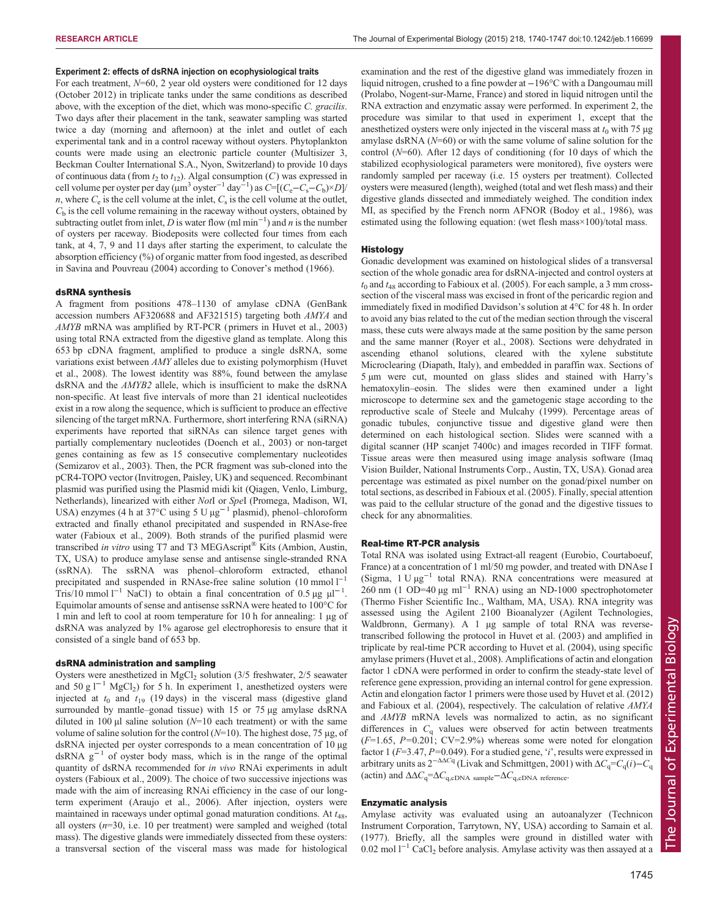# Experiment 2: effects of dsRNA injection on ecophysiological traits

For each treatment, N=60, 2 year old oysters were conditioned for 12 days (October 2012) in triplicate tanks under the same conditions as described above, with the exception of the diet, which was mono-specific C. gracilis. Two days after their placement in the tank, seawater sampling was started twice a day (morning and afternoon) at the inlet and outlet of each experimental tank and in a control raceway without oysters. Phytoplankton counts were made using an electronic particle counter (Multisizer 3, Beckman Coulter International S.A., Nyon, Switzerland) to provide 10 days of continuous data (from  $t_2$  to  $t_{12}$ ). Algal consumption (C) was expressed in cell volume per oyster per day ( $\mu$ m<sup>3</sup> oyster<sup>-1</sup> day<sup>-1</sup>) as  $C = [(C_e - C_s - C_b) \times D]$ n, where  $C_e$  is the cell volume at the inlet,  $C_s$  is the cell volume at the outlet,  $C<sub>b</sub>$  is the cell volume remaining in the raceway without oysters, obtained by subtracting outlet from inlet, D is water flow (ml min<sup>-1</sup>) and n is the number of oysters per raceway. Biodeposits were collected four times from each tank, at 4, 7, 9 and 11 days after starting the experiment, to calculate the absorption efficiency (%) of organic matter from food ingested, as described in [Savina and Pouvreau \(2004\)](#page-7-0) according to Conover'[s method \(1966\).](#page-6-0)

#### dsRNA synthesis

A fragment from positions 478–1130 of amylase cDNA (GenBank accession numbers AF320688 and AF321515) targeting both AMYA and AMYB mRNA was amplified by RT-PCR ( primers in [Huvet et al., 2003](#page-6-0)) using total RNA extracted from the digestive gland as template. Along this 653 bp cDNA fragment, amplified to produce a single dsRNA, some variations exist between AMY alleles due to existing polymorphism ([Huvet](#page-7-0) [et al., 2008](#page-7-0)). The lowest identity was 88%, found between the amylase dsRNA and the AMYB2 allele, which is insufficient to make the dsRNA non-specific. At least five intervals of more than 21 identical nucleotides exist in a row along the sequence, which is sufficient to produce an effective silencing of the target mRNA. Furthermore, short interfering RNA (siRNA) experiments have reported that siRNAs can silence target genes with partially complementary nucleotides [\(Doench et al., 2003](#page-6-0)) or non-target genes containing as few as 15 consecutive complementary nucleotides ([Semizarov et al., 2003\)](#page-7-0). Then, the PCR fragment was sub-cloned into the pCR4-TOPO vector (Invitrogen, Paisley, UK) and sequenced. Recombinant plasmid was purified using the Plasmid midi kit (Qiagen, Venlo, Limburg, Netherlands), linearized with either NotI or SpeI (Promega, Madison, WI, USA) enzymes (4 h at 37°C using 5 U µg−<sup>1</sup> plasmid), phenol–chloroform extracted and finally ethanol precipitated and suspended in RNAse-free water ([Fabioux et al., 2009\)](#page-6-0). Both strands of the purified plasmid were transcribed in vitro using T7 and T3 MEGAscript® Kits (Ambion, Austin, TX, USA) to produce amylase sense and antisense single-stranded RNA (ssRNA). The ssRNA was phenol–chloroform extracted, ethanol precipitated and suspended in RNAse-free saline solution (10 mmol l<sup>−1</sup> Tris/10 mmol l<sup>-1</sup> NaCl) to obtain a final concentration of 0.5 µg  $\mu$ l<sup>-1</sup>. Equimolar amounts of sense and antisense ssRNA were heated to 100°C for 1 min and left to cool at room temperature for 10 h for annealing: 1 µg of dsRNA was analyzed by 1% agarose gel electrophoresis to ensure that it consisted of a single band of 653 bp.

## dsRNA administration and sampling

Oysters were anesthetized in  $MgCl<sub>2</sub>$  solution (3/5 freshwater, 2/5 seawater and 50 g  $l^{-1}$  MgCl<sub>2</sub>) for 5 h. In experiment 1, anesthetized oysters were injected at  $t_0$  and  $t_{19}$  (19 days) in the visceral mass (digestive gland surrounded by mantle–gonad tissue) with 15 or 75 µg amylase dsRNA diluted in 100  $\mu$ l saline solution (N=10 each treatment) or with the same volume of saline solution for the control  $(N=10)$ . The highest dose, 75 µg, of dsRNA injected per oyster corresponds to a mean concentration of 10 µg dsRNA  $g^{-1}$  of oyster body mass, which is in the range of the optimal quantity of dsRNA recommended for in vivo RNAi experiments in adult oysters [\(Fabioux et al., 2009\)](#page-6-0). The choice of two successive injections was made with the aim of increasing RNAi efficiency in the case of our longterm experiment [\(Araujo et al., 2006](#page-6-0)). After injection, oysters were maintained in raceways under optimal gonad maturation conditions. At  $t_{48}$ , all oysters  $(n=30, i.e. 10$  per treatment) were sampled and weighed (total mass). The digestive glands were immediately dissected from these oysters: a transversal section of the visceral mass was made for histological

examination and the rest of the digestive gland was immediately frozen in liquid nitrogen, crushed to a fine powder at −196°C with a Dangoumau mill (Prolabo, Nogent-sur-Marne, France) and stored in liquid nitrogen until the RNA extraction and enzymatic assay were performed. In experiment 2, the procedure was similar to that used in experiment 1, except that the anesthetized oysters were only injected in the visceral mass at  $t_0$  with 75  $\mu$ g amylase dsRNA  $(N=60)$  or with the same volume of saline solution for the control  $(N=60)$ . After 12 days of conditioning (for 10 days of which the stabilized ecophysiological parameters were monitored), five oysters were randomly sampled per raceway (i.e. 15 oysters per treatment). Collected oysters were measured (length), weighed (total and wet flesh mass) and their digestive glands dissected and immediately weighed. The condition index MI, as specified by the French norm AFNOR ([Bodoy et al., 1986](#page-6-0)), was estimated using the following equation: (wet flesh mass×100)/total mass.

#### Histology

Gonadic development was examined on histological slides of a transversal section of the whole gonadic area for dsRNA-injected and control oysters at  $t_0$  and  $t_{48}$  according to [Fabioux et al. \(2005\)](#page-6-0). For each sample, a 3 mm crosssection of the visceral mass was excised in front of the pericardic region and immediately fixed in modified Davidson's solution at 4°C for 48 h. In order to avoid any bias related to the cut of the median section through the visceral mass, these cuts were always made at the same position by the same person and the same manner ([Royer et al., 2008](#page-7-0)). Sections were dehydrated in ascending ethanol solutions, cleared with the xylene substitute Microclearing (Diapath, Italy), and embedded in paraffin wax. Sections of 5 µm were cut, mounted on glass slides and stained with Harry's hematoxylin–eosin. The slides were then examined under a light microscope to determine sex and the gametogenic stage according to the reproductive scale of [Steele and Mulcahy \(1999\).](#page-7-0) Percentage areas of gonadic tubules, conjunctive tissue and digestive gland were then determined on each histological section. Slides were scanned with a digital scanner (HP scanjet 7400c) and images recorded in TIFF format. Tissue areas were then measured using image analysis software (Imaq Vision Builder, National Instruments Corp., Austin, TX, USA). Gonad area percentage was estimated as pixel number on the gonad/pixel number on total sections, as described in [Fabioux et al. \(2005\).](#page-6-0) Finally, special attention was paid to the cellular structure of the gonad and the digestive tissues to check for any abnormalities.

## Real-time RT-PCR analysis

Total RNA was isolated using Extract-all reagent (Eurobio, Courtaboeuf, France) at a concentration of 1 ml/50 mg powder, and treated with DNAse I (Sigma, 1 U µg−<sup>1</sup> total RNA). RNA concentrations were measured at 260 nm (1 OD=40  $\mu$ g ml<sup>-1</sup> RNA) using an ND-1000 spectrophotometer (Thermo Fisher Scientific Inc., Waltham, MA, USA). RNA integrity was assessed using the Agilent 2100 Bioanalyzer (Agilent Technologies, Waldbronn, Germany). A 1 µg sample of total RNA was reversetranscribed following the protocol in [Huvet et al. \(2003\)](#page-6-0) and amplified in triplicate by real-time PCR according to [Huvet et al. \(2004\),](#page-7-0) using specific amylase primers [\(Huvet et al., 2008\)](#page-7-0). Amplifications of actin and elongation factor 1 cDNA were performed in order to confirm the steady-state level of reference gene expression, providing an internal control for gene expression. Actin and elongation factor 1 primers were those used by [Huvet et al. \(2012\)](#page-7-0) and [Fabioux et al. \(2004\),](#page-6-0) respectively. The calculation of relative AMYA and AMYB mRNA levels was normalized to actin, as no significant differences in  $C_q$  values were observed for actin between treatments  $(F=1.65, P=0.201; CV=2.9%)$  whereas some were noted for elongation factor 1 ( $F=3.47$ ,  $P=0.049$ ). For a studied gene, 'i', results were expressed in arbitrary units as  $2^{-\Delta\Delta Cq}$  ([Livak and Schmittgen, 2001](#page-7-0)) with  $\Delta C_q = C_q(i) - C_q$ (actin) and  $\Delta \Delta C_q = \Delta C_{q,\text{cDNA sample}} - \Delta C_{q,\text{cDNA reference}}$ .

## Enzymatic analysis

Amylase activity was evaluated using an autoanalyzer (Technicon Instrument Corporation, Tarrytown, NY, USA) according to [Samain et al.](#page-7-0) [\(1977\)](#page-7-0). Briefly, all the samples were ground in distilled water with 0.02 mol  $1^{-1}$  CaCl<sub>2</sub> before analysis. Amylase activity was then assayed at a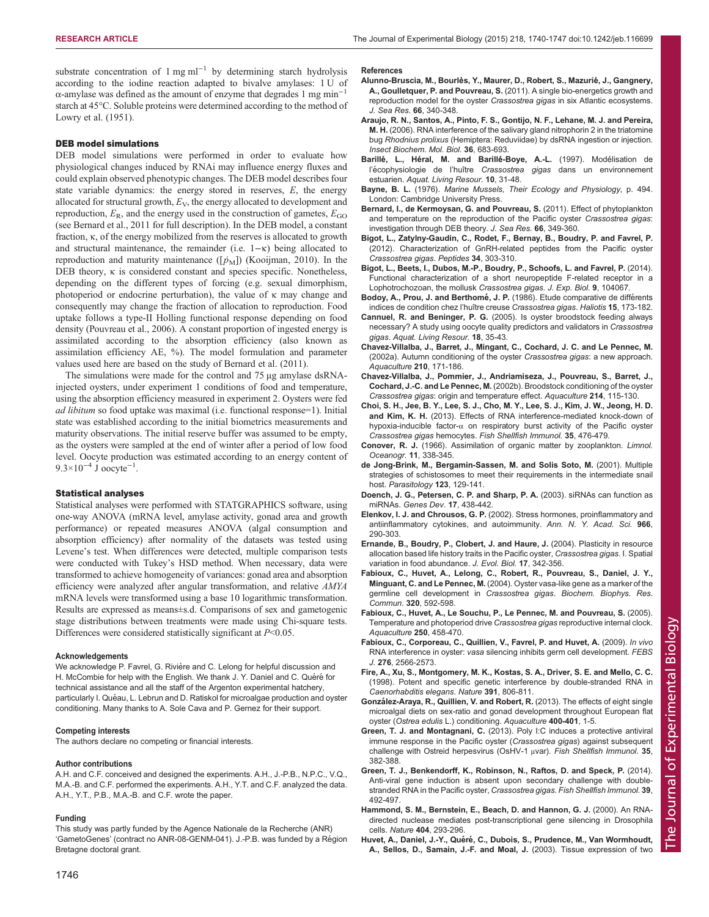<span id="page-6-0"></span>substrate concentration of  $1 \text{ mg ml}^{-1}$  by determining starch hydrolysis according to the iodine reaction adapted to bivalve amylases: 1 U of α-amylase was defined as the amount of enzyme that degrades 1 mg min<sup>-1</sup> starch at 45°C. Soluble proteins were determined according to the method of [Lowry et al. \(1951\).](#page-7-0)

## DEB model simulations

DEB model simulations were performed in order to evaluate how physiological changes induced by RNAi may influence energy fluxes and could explain observed phenotypic changes. The DEB model describes four state variable dynamics: the energy stored in reserves,  $E$ , the energy allocated for structural growth,  $E_V$ , the energy allocated to development and reproduction,  $E_R$ , and the energy used in the construction of gametes,  $E_{GO}$ (see Bernard et al., 2011 for full description). In the DEB model, a constant fraction, κ, of the energy mobilized from the reserves is allocated to growth and structural maintenance, the remainder (i.e.  $1-x$ ) being allocated to reproduction and maturity maintenance  $([p_M])$  ([Kooijman, 2010](#page-7-0)). In the DEB theory, κ is considered constant and species specific. Nonetheless, depending on the different types of forcing (e.g. sexual dimorphism, photoperiod or endocrine perturbation), the value of κ may change and consequently may change the fraction of allocation to reproduction. Food uptake follows a type-II Holling functional response depending on food density [\(Pouvreau et al., 2006](#page-7-0)). A constant proportion of ingested energy is assimilated according to the absorption efficiency (also known as assimilation efficiency AE, %). The model formulation and parameter values used here are based on the study of Bernard et al. (2011).

The simulations were made for the control and 75 µg amylase dsRNAinjected oysters, under experiment 1 conditions of food and temperature, using the absorption efficiency measured in experiment 2. Oysters were fed ad libitum so food uptake was maximal (i.e. functional response=1). Initial state was established according to the initial biometrics measurements and maturity observations. The initial reserve buffer was assumed to be empty, as the oysters were sampled at the end of winter after a period of low food level. Oocyte production was estimated according to an energy content of  $9.3 \times 10^{-4}$  J oocyte<sup>-1</sup>.

#### Statistical analyses

Statistical analyses were performed with STATGRAPHICS software, using one-way ANOVA (mRNA level, amylase activity, gonad area and growth performance) or repeated measures ANOVA (algal consumption and absorption efficiency) after normality of the datasets was tested using Levene's test. When differences were detected, multiple comparison tests were conducted with Tukey's HSD method. When necessary, data were transformed to achieve homogeneity of variances: gonad area and absorption efficiency were analyzed after angular transformation, and relative AMYA mRNA levels were transformed using a base 10 logarithmic transformation. Results are expressed as means±s.d. Comparisons of sex and gametogenic stage distributions between treatments were made using Chi-square tests. Differences were considered statistically significant at  $P<0.05$ .

#### Acknowledgements

We acknowledge P. Favrel, G. Rivière and C. Lelong for helpful discussion and H. McCombie for help with the English. We thank J. Y. Daniel and C. Quéré for technical assistance and all the staff of the Argenton experimental hatchery, particularly I. Quéau, L. Lebrun and D. Ratiskol for microalgae production and oyster conditioning. Many thanks to A. Sole Cava and P. Gernez for their support.

#### Competing interests

The authors declare no competing or financial interests.

#### Author contributions

A.H. and C.F. conceived and designed the experiments. A.H., J.-P.B., N.P.C., V.Q., M.A.-B. and C.F. performed the experiments. A.H., Y.T. and C.F. analyzed the data. A.H., Y.T., P.B., M.A.-B. and C.F. wrote the paper.

#### Funding

This study was partly funded by the Agence Nationale de la Recherche (ANR) 'GametoGenes' (contract no ANR-08-GENM-041). J.-P.B. was funded by a Région Bretagne doctoral grant.

#### References

- Alunno-Bruscia, M., Bourlès, Y., Maurer, D., Robert, S., Mazurié, J., Gangnery, A., Goulletquer, P. and Pouvreau, S. [\(2011\). A single bio-energetics growth and](http://dx.doi.org/10.1016/j.seares.2011.07.008) [reproduction model for the oyster](http://dx.doi.org/10.1016/j.seares.2011.07.008) Crassostrea gigas in six Atlantic ecosystems. [J. Sea Res.](http://dx.doi.org/10.1016/j.seares.2011.07.008) 66, 340-348.
- [Araujo, R. N., Santos, A., Pinto, F. S., Gontijo, N. F., Lehane, M. J. and Pereira,](http://dx.doi.org/10.1016/j.ibmb.2006.05.012) M. H. [\(2006\). RNA interference of the salivary gland nitrophorin 2 in the triatomine](http://dx.doi.org/10.1016/j.ibmb.2006.05.012) bug Rhodnius prolixus [\(Hemiptera: Reduviidae\) by dsRNA ingestion or injection.](http://dx.doi.org/10.1016/j.ibmb.2006.05.012) [Insect Biochem. Mol. Biol.](http://dx.doi.org/10.1016/j.ibmb.2006.05.012) 36, 683-693.
- Barillé, L., Héral, M. and Barillé-Boye, A.-L. (1997). Modélisation de l'écophysiologie de l'huître Crassostrea gigas [dans un environnement](http://dx.doi.org/10.1051/alr:1997004) estuarien. [Aquat. Living Resour.](http://dx.doi.org/10.1051/alr:1997004) 10, 31-48.
- Bayne, B. L. (1976). Marine Mussels, Their Ecology and Physiology, p. 494. London: Cambridge University Press.
- [Bernard, I., de Kermoysan, G. and Pouvreau, S.](http://dx.doi.org/10.1016/j.seares.2011.07.009) (2011). Effect of phytoplankton [and temperature on the reproduction of the Pacific oyster](http://dx.doi.org/10.1016/j.seares.2011.07.009) Crassostrea gigas: [investigation through DEB theory.](http://dx.doi.org/10.1016/j.seares.2011.07.009) J. Sea Res. 66, 349-360.
- [Bigot, L., Zatylny-Gaudin, C., Rodet, F., Bernay, B., Boudry, P. and Favrel, P.](http://dx.doi.org/10.1016/j.peptides.2012.01.017) [\(2012\). Characterization of GnRH-related peptides from the Pacific oyster](http://dx.doi.org/10.1016/j.peptides.2012.01.017) [Crassostrea gigas](http://dx.doi.org/10.1016/j.peptides.2012.01.017). Peptides 34, 303-310.
- [Bigot, L., Beets, I., Dubos, M.-P., Boudry, P., Schoofs, L. and Favrel, P.](http://dx.doi.org/10.1242/jeb.104067) (2014). [Functional characterization of a short neuropeptide F-related receptor in a](http://dx.doi.org/10.1242/jeb.104067) [Lophotrochozoan, the mollusk](http://dx.doi.org/10.1242/jeb.104067) Crassostrea gigas. J. Exp. Biol. 9, 104067.
- Bodoy, A., Prou, J. and Berthomé, J. P. (1986). Etude comparative de différents indices de condition chez l'huître creuse Crassostrea gigas. Haliotis 15, 173-182.
- Cannuel, R. and Beninger, P. G. [\(2005\). Is oyster broodstock feeding always](http://dx.doi.org/10.1051/alr:2005003) [necessary? A study using oocyte quality predictors and validators in](http://dx.doi.org/10.1051/alr:2005003) Crassostrea gigas. [Aquat. Living Resour.](http://dx.doi.org/10.1051/alr:2005003) 18, 35-43.
- [Chavez-Villalba, J., Barret, J., Mingant, C., Cochard, J. C. and Le Pennec, M.](http://dx.doi.org/10.1016/S0044-8486(02)00059-5) [\(2002a\). Autumn conditioning of the oyster](http://dx.doi.org/10.1016/S0044-8486(02)00059-5) Crassostrea gigas: a new approach. [Aquaculture](http://dx.doi.org/10.1016/S0044-8486(02)00059-5) 210, 171-186.
- [Chavez-Villalba, J., Pommier, J., Andriamiseza, J., Pouvreau, S., Barret, J.,](http://dx.doi.org/10.1016/S0044-8486(01)00898-5) Cochard, J.-C. and Le Pennec, M. [\(2002b\). Broodstock conditioning of the oyster](http://dx.doi.org/10.1016/S0044-8486(01)00898-5) Crassostrea gigas[: origin and temperature effect.](http://dx.doi.org/10.1016/S0044-8486(01)00898-5) Aquaculture 214, 115-130.
- [Choi, S. H., Jee, B. Y., Lee, S. J., Cho, M. Y., Lee, S. J., Kim, J. W., Jeong, H. D.](http://dx.doi.org/10.1016/j.fsi.2013.05.001) and Kim, K. H. [\(2013\). Effects of RNA interference-mediated knock-down of](http://dx.doi.org/10.1016/j.fsi.2013.05.001) hypoxia-inducible factor- $\alpha$  [on respiratory burst activity of the Pacific oyster](http://dx.doi.org/10.1016/j.fsi.2013.05.001) Crassostrea gigas hemocytes. [Fish Shellfish Immunol.](http://dx.doi.org/10.1016/j.fsi.2013.05.001) 35, 476-479.
- Conover, R. J. [\(1966\). Assimilation of organic matter by zooplankton.](http://dx.doi.org/10.4319/lo.1966.11.3.0338) Limnol. [Oceanogr.](http://dx.doi.org/10.4319/lo.1966.11.3.0338) 11, 338-345.
- [de Jong-Brink, M., Bergamin-Sassen, M. and Solis Soto, M.](http://dx.doi.org/10.1017/S0031182001008149) (2001). Multiple [strategies of schistosomes to meet their requirements in the intermediate snail](http://dx.doi.org/10.1017/S0031182001008149) host. [Parasitology](http://dx.doi.org/10.1017/S0031182001008149) 123, 129-141.
- [Doench, J. G., Petersen, C. P. and Sharp, P. A.](http://dx.doi.org/10.1101/gad.1064703) (2003). siRNAs can function as miRNAs. [Genes Dev.](http://dx.doi.org/10.1101/gad.1064703) 17, 438-442.
- Elenkov, I. J. and Chrousos, G. P. [\(2002\). Stress hormones, proinflammatory and](http://dx.doi.org/10.1111/j.1749-6632.2002.tb04229.x) [antiinflammatory cytokines, and autoimmunity.](http://dx.doi.org/10.1111/j.1749-6632.2002.tb04229.x) Ann. N. Y. Acad. Sci. 966, [290-303.](http://dx.doi.org/10.1111/j.1749-6632.2002.tb04229.x)
- [Ernande, B., Boudry, P., Clobert, J. and Haure, J.](http://dx.doi.org/10.1046/j.1420-9101.2003.00674.x) (2004). Plasticity in resource [allocation based life history traits in the Pacific oyster,](http://dx.doi.org/10.1046/j.1420-9101.2003.00674.x) Crassostrea gigas. I. Spatial [variation in food abundance.](http://dx.doi.org/10.1046/j.1420-9101.2003.00674.x) J. Evol. Biol. 17, 342-356.
- [Fabioux, C., Huvet, A., Lelong, C., Robert, R., Pouvreau, S., Daniel, J. Y.,](http://dx.doi.org/10.1016/j.bbrc.2004.06.009) Minguant, C. and Le Pennec, M. [\(2004\). Oyster vasa-like gene as a marker of the](http://dx.doi.org/10.1016/j.bbrc.2004.06.009) [germline cell development in](http://dx.doi.org/10.1016/j.bbrc.2004.06.009) Crassostrea gigas. Biochem. Biophys. Res. Commun. 320[, 592-598.](http://dx.doi.org/10.1016/j.bbrc.2004.06.009)
- [Fabioux, C., Huvet, A., Le Souchu, P., Le Pennec, M. and Pouvreau, S.](http://dx.doi.org/10.1016/j.aquaculture.2005.02.038) (2005). [Temperature and photoperiod drive](http://dx.doi.org/10.1016/j.aquaculture.2005.02.038) Crassostrea gigas reproductive internal clock. [Aquaculture](http://dx.doi.org/10.1016/j.aquaculture.2005.02.038) 250, 458-470.
- [Fabioux, C., Corporeau, C., Quillien, V., Favrel, P. and Huvet, A.](http://dx.doi.org/10.1111/j.1742-4658.2009.06982.x) (2009). In vivo RNA interference in oyster: vasa [silencing inhibits germ cell development.](http://dx.doi.org/10.1111/j.1742-4658.2009.06982.x) FEBS J. 276[, 2566-2573.](http://dx.doi.org/10.1111/j.1742-4658.2009.06982.x)
- [Fire, A., Xu, S., Montgomery, M. K., Kostas, S. A., Driver, S. E. and Mello, C. C.](http://dx.doi.org/10.1038/35888) [\(1998\). Potent and specific genetic interference by double-stranded RNA in](http://dx.doi.org/10.1038/35888) [Caenorhabditis elegans](http://dx.doi.org/10.1038/35888). Nature 391, 806-811.
- Gonzá[lez-Araya, R., Quillien, V. and Robert, R.](http://dx.doi.org/10.1016/j.aquaculture.2013.02.036) (2013). The effects of eight single [microalgal diets on sex-ratio and gonad development throughout European flat](http://dx.doi.org/10.1016/j.aquaculture.2013.02.036) oyster (Ostrea edulis [L.\) conditioning.](http://dx.doi.org/10.1016/j.aquaculture.2013.02.036) Aquaculture 400-401, 1-5.
- Green, T. J. and Montagnani, C. [\(2013\). Poly I:C induces a protective antiviral](http://dx.doi.org/10.1016/j.fsi.2013.04.051) [immune response in the Pacific oyster \(](http://dx.doi.org/10.1016/j.fsi.2013.04.051)Crassostrea gigas) against subsequent [challenge with Ostreid herpesvirus \(OsHV-1](http://dx.doi.org/10.1016/j.fsi.2013.04.051) μvar). Fish Shellfish Immunol. 35, [382-388.](http://dx.doi.org/10.1016/j.fsi.2013.04.051)
- [Green, T. J., Benkendorff, K., Robinson, N., Raftos, D. and Speck, P.](http://dx.doi.org/10.1016/j.fsi.2014.06.010) (2014). [Anti-viral gene induction is absent upon secondary challenge with double](http://dx.doi.org/10.1016/j.fsi.2014.06.010)[stranded RNA in the Pacific oyster,](http://dx.doi.org/10.1016/j.fsi.2014.06.010) Crassostrea gigas. Fish Shellfish Immunol. 39, [492-497.](http://dx.doi.org/10.1016/j.fsi.2014.06.010)
- [Hammond, S. M., Bernstein, E., Beach, D. and Hannon, G. J.](http://dx.doi.org/10.1038/35005107) (2000). An RNA[directed nuclease mediates post-transcriptional gene silencing in Drosophila](http://dx.doi.org/10.1038/35005107) cells. Nature 404[, 293-296.](http://dx.doi.org/10.1038/35005107)
- Huvet, A., Daniel, J.-Y., Quéré[, C., Dubois, S., Prudence, M., Van Wormhoudt,](http://dx.doi.org/10.1016/S0044-8486(03)00323-5) [A., Sellos, D., Samain, J.-F. and Moal, J.](http://dx.doi.org/10.1016/S0044-8486(03)00323-5) (2003). Tissue expression of two